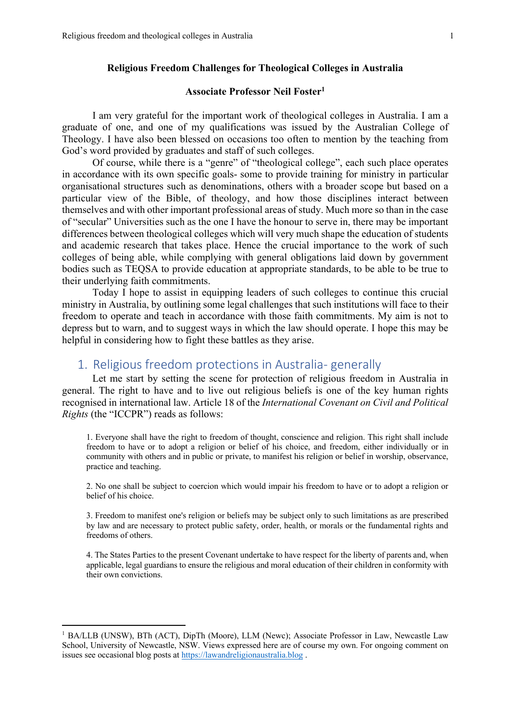### **Religious Freedom Challenges for Theological Colleges in Australia**

## **Associate Professor Neil Foster1**

I am very grateful for the important work of theological colleges in Australia. I am a graduate of one, and one of my qualifications was issued by the Australian College of Theology. I have also been blessed on occasions too often to mention by the teaching from God's word provided by graduates and staff of such colleges.

Of course, while there is a "genre" of "theological college", each such place operates in accordance with its own specific goals- some to provide training for ministry in particular organisational structures such as denominations, others with a broader scope but based on a particular view of the Bible, of theology, and how those disciplines interact between themselves and with other important professional areas of study. Much more so than in the case of "secular" Universities such as the one I have the honour to serve in, there may be important differences between theological colleges which will very much shape the education of students and academic research that takes place. Hence the crucial importance to the work of such colleges of being able, while complying with general obligations laid down by government bodies such as TEQSA to provide education at appropriate standards, to be able to be true to their underlying faith commitments.

Today I hope to assist in equipping leaders of such colleges to continue this crucial ministry in Australia, by outlining some legal challenges that such institutions will face to their freedom to operate and teach in accordance with those faith commitments. My aim is not to depress but to warn, and to suggest ways in which the law should operate. I hope this may be helpful in considering how to fight these battles as they arise.

# 1. Religious freedom protections in Australia- generally

Let me start by setting the scene for protection of religious freedom in Australia in general. The right to have and to live out religious beliefs is one of the key human rights recognised in international law. Article 18 of the *International Covenant on Civil and Political Rights* (the "ICCPR") reads as follows:

1. Everyone shall have the right to freedom of thought, conscience and religion. This right shall include freedom to have or to adopt a religion or belief of his choice, and freedom, either individually or in community with others and in public or private, to manifest his religion or belief in worship, observance, practice and teaching.

2. No one shall be subject to coercion which would impair his freedom to have or to adopt a religion or belief of his choice.

3. Freedom to manifest one's religion or beliefs may be subject only to such limitations as are prescribed by law and are necessary to protect public safety, order, health, or morals or the fundamental rights and freedoms of others.

4. The States Parties to the present Covenant undertake to have respect for the liberty of parents and, when applicable, legal guardians to ensure the religious and moral education of their children in conformity with their own convictions.

<sup>&</sup>lt;sup>1</sup> BA/LLB (UNSW), BTh (ACT), DipTh (Moore), LLM (Newc); Associate Professor in Law, Newcastle Law School, University of Newcastle, NSW. Views expressed here are of course my own. For ongoing comment on issues see occasional blog posts at https://lawandreligionaustralia.blog .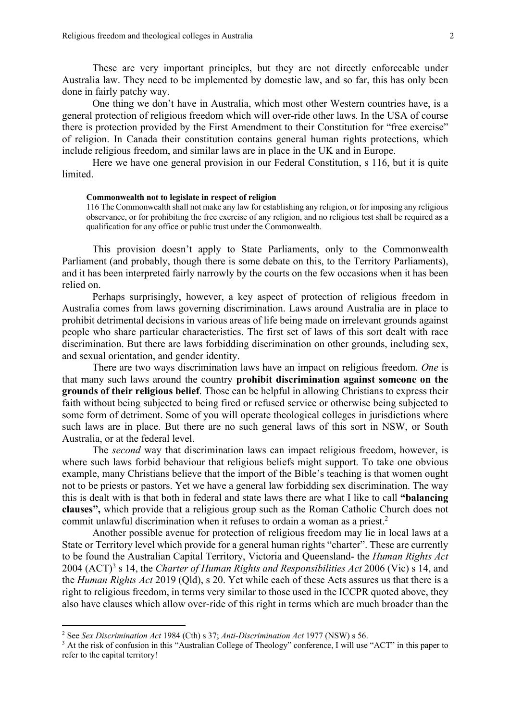These are very important principles, but they are not directly enforceable under Australia law. They need to be implemented by domestic law, and so far, this has only been done in fairly patchy way.

One thing we don't have in Australia, which most other Western countries have, is a general protection of religious freedom which will over-ride other laws. In the USA of course there is protection provided by the First Amendment to their Constitution for "free exercise" of religion. In Canada their constitution contains general human rights protections, which include religious freedom, and similar laws are in place in the UK and in Europe.

Here we have one general provision in our Federal Constitution, s 116, but it is quite limited.

### **Commonwealth not to legislate in respect of religion**

116 The Commonwealth shall not make any law for establishing any religion, or for imposing any religious observance, or for prohibiting the free exercise of any religion, and no religious test shall be required as a qualification for any office or public trust under the Commonwealth.

This provision doesn't apply to State Parliaments, only to the Commonwealth Parliament (and probably, though there is some debate on this, to the Territory Parliaments), and it has been interpreted fairly narrowly by the courts on the few occasions when it has been relied on.

Perhaps surprisingly, however, a key aspect of protection of religious freedom in Australia comes from laws governing discrimination. Laws around Australia are in place to prohibit detrimental decisions in various areas of life being made on irrelevant grounds against people who share particular characteristics. The first set of laws of this sort dealt with race discrimination. But there are laws forbidding discrimination on other grounds, including sex, and sexual orientation, and gender identity.

There are two ways discrimination laws have an impact on religious freedom. *One* is that many such laws around the country **prohibit discrimination against someone on the grounds of their religious belief**. Those can be helpful in allowing Christians to express their faith without being subjected to being fired or refused service or otherwise being subjected to some form of detriment. Some of you will operate theological colleges in jurisdictions where such laws are in place. But there are no such general laws of this sort in NSW, or South Australia, or at the federal level.

The *second* way that discrimination laws can impact religious freedom, however, is where such laws forbid behaviour that religious beliefs might support. To take one obvious example, many Christians believe that the import of the Bible's teaching is that women ought not to be priests or pastors. Yet we have a general law forbidding sex discrimination. The way this is dealt with is that both in federal and state laws there are what I like to call **"balancing clauses",** which provide that a religious group such as the Roman Catholic Church does not commit unlawful discrimination when it refuses to ordain a woman as a priest.2

Another possible avenue for protection of religious freedom may lie in local laws at a State or Territory level which provide for a general human rights "charter". These are currently to be found the Australian Capital Territory, Victoria and Queensland- the *Human Rights Act* 2004 (ACT)3 s 14, the *Charter of Human Rights and Responsibilities Act* 2006 (Vic) s 14, and the *Human Rights Act* 2019 (Qld), s 20. Yet while each of these Acts assures us that there is a right to religious freedom, in terms very similar to those used in the ICCPR quoted above, they also have clauses which allow over-ride of this right in terms which are much broader than the

<sup>2</sup> See *Sex Discrimination Act* 1984 (Cth) s 37; *Anti-Discrimination Act* 1977 (NSW) s 56.

<sup>&</sup>lt;sup>3</sup> At the risk of confusion in this "Australian College of Theology" conference, I will use "ACT" in this paper to refer to the capital territory!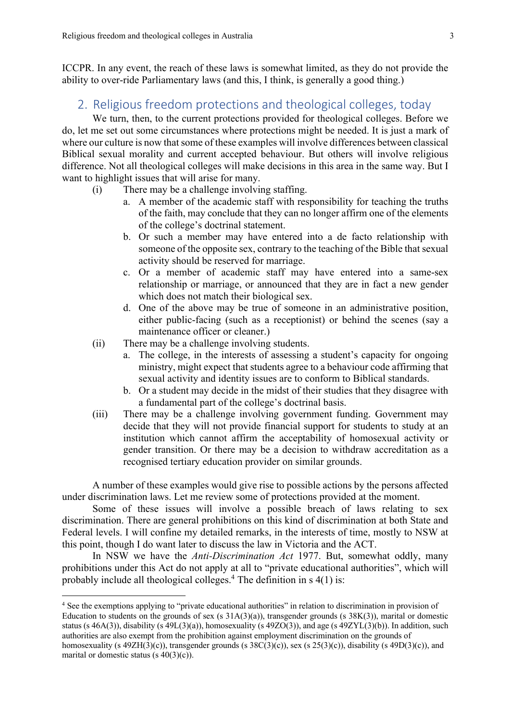ICCPR. In any event, the reach of these laws is somewhat limited, as they do not provide the ability to over-ride Parliamentary laws (and this, I think, is generally a good thing.)

# 2. Religious freedom protections and theological colleges, today

We turn, then, to the current protections provided for theological colleges. Before we do, let me set out some circumstances where protections might be needed. It is just a mark of where our culture is now that some of these examples will involve differences between classical Biblical sexual morality and current accepted behaviour. But others will involve religious difference. Not all theological colleges will make decisions in this area in the same way. But I want to highlight issues that will arise for many.

- (i) There may be a challenge involving staffing.
	- a. A member of the academic staff with responsibility for teaching the truths of the faith, may conclude that they can no longer affirm one of the elements of the college's doctrinal statement.
	- b. Or such a member may have entered into a de facto relationship with someone of the opposite sex, contrary to the teaching of the Bible that sexual activity should be reserved for marriage.
	- c. Or a member of academic staff may have entered into a same-sex relationship or marriage, or announced that they are in fact a new gender which does not match their biological sex.
	- d. One of the above may be true of someone in an administrative position, either public-facing (such as a receptionist) or behind the scenes (say a maintenance officer or cleaner.)
- (ii) There may be a challenge involving students.
	- a. The college, in the interests of assessing a student's capacity for ongoing ministry, might expect that students agree to a behaviour code affirming that sexual activity and identity issues are to conform to Biblical standards.
	- b. Or a student may decide in the midst of their studies that they disagree with a fundamental part of the college's doctrinal basis.
- (iii) There may be a challenge involving government funding. Government may decide that they will not provide financial support for students to study at an institution which cannot affirm the acceptability of homosexual activity or gender transition. Or there may be a decision to withdraw accreditation as a recognised tertiary education provider on similar grounds.

A number of these examples would give rise to possible actions by the persons affected under discrimination laws. Let me review some of protections provided at the moment.

Some of these issues will involve a possible breach of laws relating to sex discrimination. There are general prohibitions on this kind of discrimination at both State and Federal levels. I will confine my detailed remarks, in the interests of time, mostly to NSW at this point, though I do want later to discuss the law in Victoria and the ACT.

In NSW we have the *Anti-Discrimination Act* 1977. But, somewhat oddly, many prohibitions under this Act do not apply at all to "private educational authorities", which will probably include all theological colleges. <sup>4</sup> The definition in s 4(1) is:

<sup>&</sup>lt;sup>4</sup> See the exemptions applying to "private educational authorities" in relation to discrimination in provision of Education to students on the grounds of sex (s  $31A(3)(a)$ ), transgender grounds (s  $38K(3)$ ), marital or domestic status (s 46A(3)), disability (s 49L(3)(a)), homosexuality (s 49ZO(3)), and age (s 49ZYL(3)(b)). In addition, such authorities are also exempt from the prohibition against employment discrimination on the grounds of homosexuality (s  $49ZH(3)(c)$ ), transgender grounds (s  $38C(3)(c)$ ), sex (s  $25(3)(c)$ ), disability (s  $49D(3)(c)$ ), and marital or domestic status (s  $40(3)(c)$ ).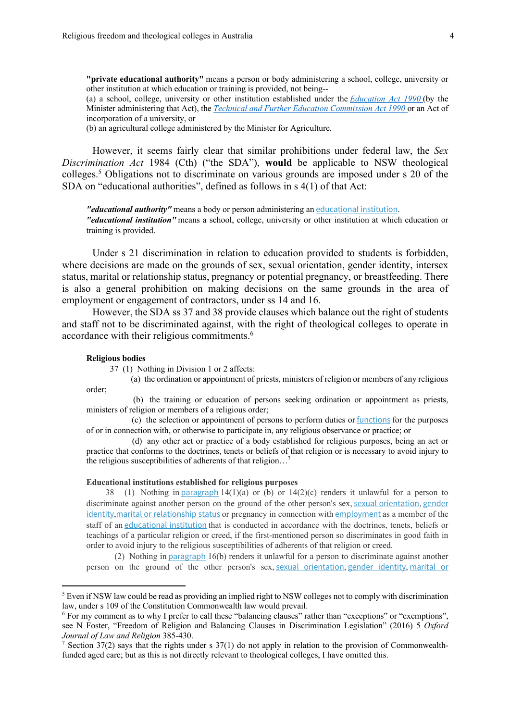**"private educational authority"** means a person or body administering a school, college, university or other institution at which education or training is provided, not being--

(a) a school, college, university or other institution established under the *Education Act 1990* (by the Minister administering that Act), the *Technical and Further Education Commission Act 1990* or an Act of incorporation of a university, or

(b) an agricultural college administered by the Minister for Agriculture.

However, it seems fairly clear that similar prohibitions under federal law, the *Sex Discrimination Act* 1984 (Cth) ("the SDA"), **would** be applicable to NSW theological colleges.5 Obligations not to discriminate on various grounds are imposed under s 20 of the SDA on "educational authorities", defined as follows in s 4(1) of that Act:

*"educational authority"* means a body or person administering an educational institution. *"educational institution"* means a school, college, university or other institution at which education or training is provided.

Under s 21 discrimination in relation to education provided to students is forbidden, where decisions are made on the grounds of sex, sexual orientation, gender identity, intersex status, marital or relationship status, pregnancy or potential pregnancy, or breastfeeding. There is also a general prohibition on making decisions on the same grounds in the area of employment or engagement of contractors, under ss 14 and 16.

However, the SDA ss 37 and 38 provide clauses which balance out the right of students and staff not to be discriminated against, with the right of theological colleges to operate in accordance with their religious commitments.6

#### **Religious bodies**

37 (1) Nothing in Division 1 or 2 affects:

 (a) the ordination or appointment of priests, ministers of religion or members of any religious order;

 (b) the training or education of persons seeking ordination or appointment as priests, ministers of religion or members of a religious order;

 (c) the selection or appointment of persons to perform duties or functions for the purposes of or in connection with, or otherwise to participate in, any religious observance or practice; or

 (d) any other act or practice of a body established for religious purposes, being an act or practice that conforms to the doctrines, tenets or beliefs of that religion or is necessary to avoid injury to the religious susceptibilities of adherents of that religion…7

#### **Educational institutions established for religious purposes**

38 (1) Nothing in paragraph  $14(1)(a)$  or (b) or  $14(2)(c)$  renders it unlawful for a person to discriminate against another person on the ground of the other person's sex, sexual orientation, gender identity,marital or relationship status or pregnancy in connection with employment as a member of the staff of an educational institution that is conducted in accordance with the doctrines, tenets, beliefs or teachings of a particular religion or creed, if the first-mentioned person so discriminates in good faith in order to avoid injury to the religious susceptibilities of adherents of that religion or creed.

 (2) Nothing in paragraph 16(b) renders it unlawful for a person to discriminate against another person on the ground of the other person's sex, sexual orientation, gender identity, marital or

<sup>&</sup>lt;sup>5</sup> Even if NSW law could be read as providing an implied right to NSW colleges not to comply with discrimination law, under s 109 of the Constitution Commonwealth law would prevail.

<sup>&</sup>lt;sup>6</sup> For my comment as to why I prefer to call these "balancing clauses" rather than "exceptions" or "exemptions", see N Foster, "Freedom of Religion and Balancing Clauses in Discrimination Legislation" (2016) 5 *Oxford Journal of Law and Religion* 385-430.

<sup>&</sup>lt;sup>7</sup> Section 37(2) says that the rights under s 37(1) do not apply in relation to the provision of Commonwealthfunded aged care; but as this is not directly relevant to theological colleges, I have omitted this.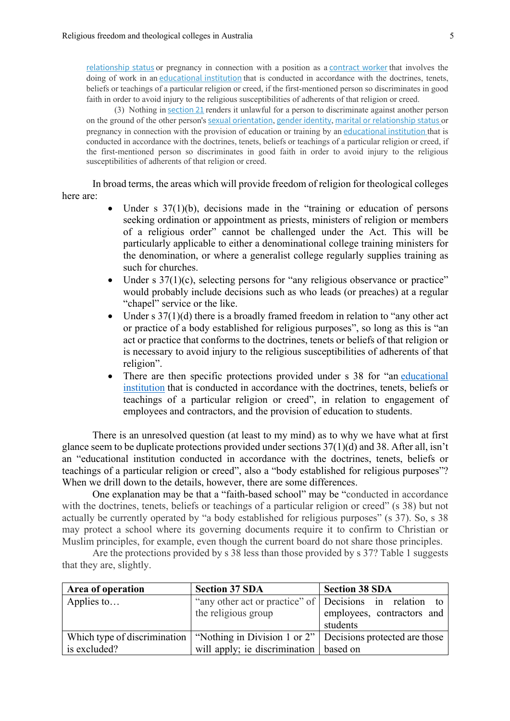relationship status or pregnancy in connection with a position as a contract worker that involves the doing of work in an educational institution that is conducted in accordance with the doctrines, tenets, beliefs or teachings of a particular religion or creed, if the first-mentioned person so discriminates in good faith in order to avoid injury to the religious susceptibilities of adherents of that religion or creed.

 (3) Nothing in section 21 renders it unlawful for a person to discriminate against another person on the ground of the other person's sexual orientation, gender identity, marital or relationship status or pregnancy in connection with the provision of education or training by an educational institution that is conducted in accordance with the doctrines, tenets, beliefs or teachings of a particular religion or creed, if the first-mentioned person so discriminates in good faith in order to avoid injury to the religious susceptibilities of adherents of that religion or creed.

In broad terms, the areas which will provide freedom of religion for theological colleges here are:

- Under  $s \frac{37(1)}{b}$ , decisions made in the "training or education of persons" seeking ordination or appointment as priests, ministers of religion or members of a religious order" cannot be challenged under the Act. This will be particularly applicable to either a denominational college training ministers for the denomination, or where a generalist college regularly supplies training as such for churches.
- Under  $s \frac{37(1)}{c}$ , selecting persons for "any religious observance or practice" would probably include decisions such as who leads (or preaches) at a regular "chapel" service or the like.
- Under  $s \frac{37(1)}{d}$  there is a broadly framed freedom in relation to "any other act" or practice of a body established for religious purposes", so long as this is "an act or practice that conforms to the doctrines, tenets or beliefs of that religion or is necessary to avoid injury to the religious susceptibilities of adherents of that religion".
- There are then specific protections provided under s 38 for "an educational institution that is conducted in accordance with the doctrines, tenets, beliefs or teachings of a particular religion or creed", in relation to engagement of employees and contractors, and the provision of education to students.

There is an unresolved question (at least to my mind) as to why we have what at first glance seem to be duplicate protections provided under sections 37(1)(d) and 38. After all, isn't an "educational institution conducted in accordance with the doctrines, tenets, beliefs or teachings of a particular religion or creed", also a "body established for religious purposes"? When we drill down to the details, however, there are some differences.

One explanation may be that a "faith-based school" may be "conducted in accordance with the doctrines, tenets, beliefs or teachings of a particular religion or creed" (s 38) but not actually be currently operated by "a body established for religious purposes" (s 37). So, s 38 may protect a school where its governing documents require it to confirm to Christian or Muslim principles, for example, even though the current board do not share those principles.

Are the protections provided by s 38 less than those provided by s 37? Table 1 suggests that they are, slightly.

| Area of operation | <b>Section 37 SDA</b>                                                                                   | <b>Section 38 SDA</b>                                   |
|-------------------|---------------------------------------------------------------------------------------------------------|---------------------------------------------------------|
| Applies to        |                                                                                                         | "any other act or practice" of Decisions in relation to |
|                   | the religious group                                                                                     | employees, contractors and<br>students                  |
|                   | Which type of discrimination $\vert$ "Nothing in Division 1 or 2" $\vert$ Decisions protected are those |                                                         |
| is excluded?      | will apply; ie discrimination   based on                                                                |                                                         |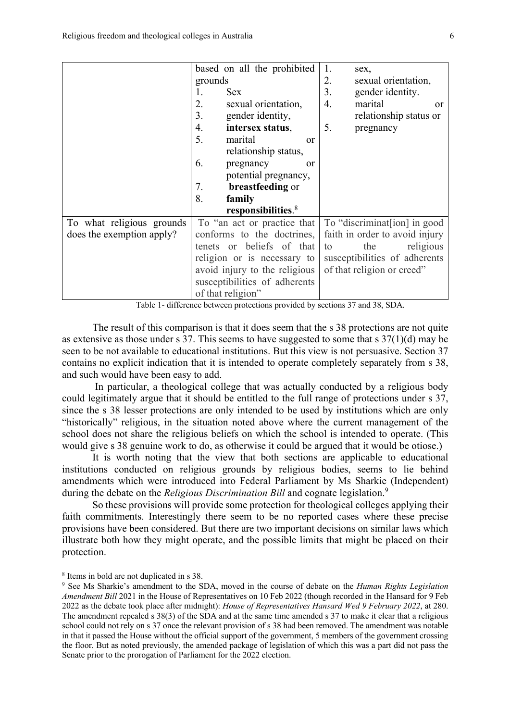|                           | based on all the prohibited    | 1.<br>sex,                     |
|---------------------------|--------------------------------|--------------------------------|
|                           | grounds                        | 2.<br>sexual orientation,      |
|                           | 1.<br><b>Sex</b>               | 3.<br>gender identity.         |
|                           | 2.<br>sexual orientation,      | 4.<br>marital<br><sub>or</sub> |
|                           | 3.<br>gender identity,         | relationship status or         |
|                           | 4.<br>intersex status,         | 5.<br>pregnancy                |
|                           | 5.<br>marital<br>or            |                                |
|                           | relationship status,           |                                |
|                           | 6.<br>pregnancy<br><b>or</b>   |                                |
|                           | potential pregnancy,           |                                |
|                           | 7.<br>breastfeeding or         |                                |
|                           | 8.<br>family                   |                                |
|                           | responsibilities. <sup>8</sup> |                                |
| To what religious grounds | To "an act or practice that    | To "discriminaterial" in good  |
| does the exemption apply? | conforms to the doctrines,     | faith in order to avoid injury |
|                           | tenets or beliefs of that      | the<br>religious<br>to         |
|                           | religion or is necessary to    | susceptibilities of adherents  |
|                           | avoid injury to the religious  | of that religion or creed"     |
|                           | susceptibilities of adherents  |                                |
|                           | of that religion"              |                                |

Table 1- difference between protections provided by sections 37 and 38, SDA.

The result of this comparison is that it does seem that the s 38 protections are not quite as extensive as those under s 37. This seems to have suggested to some that s 37(1)(d) may be seen to be not available to educational institutions. But this view is not persuasive. Section 37 contains no explicit indication that it is intended to operate completely separately from s 38, and such would have been easy to add.

In particular, a theological college that was actually conducted by a religious body could legitimately argue that it should be entitled to the full range of protections under s 37, since the s 38 lesser protections are only intended to be used by institutions which are only "historically" religious, in the situation noted above where the current management of the school does not share the religious beliefs on which the school is intended to operate. (This would give s 38 genuine work to do, as otherwise it could be argued that it would be otiose.)

It is worth noting that the view that both sections are applicable to educational institutions conducted on religious grounds by religious bodies, seems to lie behind amendments which were introduced into Federal Parliament by Ms Sharkie (Independent) during the debate on the *Religious Discrimination Bill* and cognate legislation.<sup>9</sup>

So these provisions will provide some protection for theological colleges applying their faith commitments. Interestingly there seem to be no reported cases where these precise provisions have been considered. But there are two important decisions on similar laws which illustrate both how they might operate, and the possible limits that might be placed on their protection.

<sup>8</sup> Items in bold are not duplicated in s 38.

<sup>9</sup> See Ms Sharkie's amendment to the SDA, moved in the course of debate on the *Human Rights Legislation Amendment Bill* 2021 in the House of Representatives on 10 Feb 2022 (though recorded in the Hansard for 9 Feb 2022 as the debate took place after midnight): *House of Representatives Hansard Wed 9 February 2022*, at 280. The amendment repealed s 38(3) of the SDA and at the same time amended s 37 to make it clear that a religious school could not rely on s 37 once the relevant provision of s 38 had been removed. The amendment was notable in that it passed the House without the official support of the government, 5 members of the government crossing the floor. But as noted previously, the amended package of legislation of which this was a part did not pass the Senate prior to the prorogation of Parliament for the 2022 election.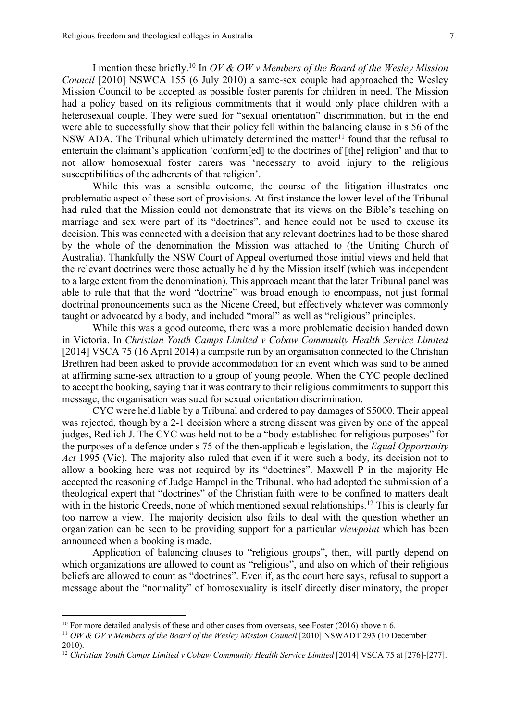I mention these briefly.10 In *OV & OW v Members of the Board of the Wesley Mission Council* [2010] NSWCA 155 (6 July 2010) a same-sex couple had approached the Wesley Mission Council to be accepted as possible foster parents for children in need. The Mission had a policy based on its religious commitments that it would only place children with a heterosexual couple. They were sued for "sexual orientation" discrimination, but in the end were able to successfully show that their policy fell within the balancing clause in s 56 of the NSW ADA. The Tribunal which ultimately determined the matter<sup>11</sup> found that the refusal to entertain the claimant's application 'conform[ed] to the doctrines of [the] religion' and that to not allow homosexual foster carers was 'necessary to avoid injury to the religious susceptibilities of the adherents of that religion'.

While this was a sensible outcome, the course of the litigation illustrates one problematic aspect of these sort of provisions. At first instance the lower level of the Tribunal had ruled that the Mission could not demonstrate that its views on the Bible's teaching on marriage and sex were part of its "doctrines", and hence could not be used to excuse its decision. This was connected with a decision that any relevant doctrines had to be those shared by the whole of the denomination the Mission was attached to (the Uniting Church of Australia). Thankfully the NSW Court of Appeal overturned those initial views and held that the relevant doctrines were those actually held by the Mission itself (which was independent to a large extent from the denomination). This approach meant that the later Tribunal panel was able to rule that that the word "doctrine" was broad enough to encompass, not just formal doctrinal pronouncements such as the Nicene Creed, but effectively whatever was commonly taught or advocated by a body, and included "moral" as well as "religious" principles.

While this was a good outcome, there was a more problematic decision handed down in Victoria. In *Christian Youth Camps Limited v Cobaw Community Health Service Limited* [2014] VSCA 75 (16 April 2014) a campsite run by an organisation connected to the Christian Brethren had been asked to provide accommodation for an event which was said to be aimed at affirming same-sex attraction to a group of young people. When the CYC people declined to accept the booking, saying that it was contrary to their religious commitments to support this message, the organisation was sued for sexual orientation discrimination.

CYC were held liable by a Tribunal and ordered to pay damages of \$5000. Their appeal was rejected, though by a 2-1 decision where a strong dissent was given by one of the appeal judges, Redlich J. The CYC was held not to be a "body established for religious purposes" for the purposes of a defence under s 75 of the then-applicable legislation, the *Equal Opportunity Act* 1995 (Vic). The majority also ruled that even if it were such a body, its decision not to allow a booking here was not required by its "doctrines". Maxwell P in the majority He accepted the reasoning of Judge Hampel in the Tribunal, who had adopted the submission of a theological expert that "doctrines" of the Christian faith were to be confined to matters dealt with in the historic Creeds, none of which mentioned sexual relationships.<sup>12</sup> This is clearly far too narrow a view. The majority decision also fails to deal with the question whether an organization can be seen to be providing support for a particular *viewpoint* which has been announced when a booking is made.

Application of balancing clauses to "religious groups", then, will partly depend on which organizations are allowed to count as "religious", and also on which of their religious beliefs are allowed to count as "doctrines". Even if, as the court here says, refusal to support a message about the "normality" of homosexuality is itself directly discriminatory, the proper

 $10$  For more detailed analysis of these and other cases from overseas, see Foster (2016) above n 6.

<sup>&</sup>lt;sup>11</sup> *OW & OV v Members of the Board of the Wesley Mission Council* [2010] NSWADT 293 (10 December 2010).

<sup>&</sup>lt;sup>12</sup> Christian Youth Camps Limited v Cobaw Community Health Service Limited [2014] VSCA 75 at [276]-[277].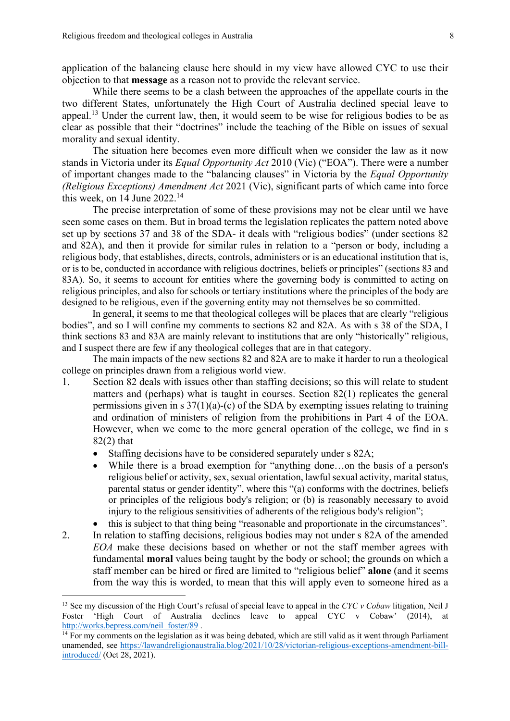application of the balancing clause here should in my view have allowed CYC to use their objection to that **message** as a reason not to provide the relevant service.

While there seems to be a clash between the approaches of the appellate courts in the two different States, unfortunately the High Court of Australia declined special leave to appeal.13 Under the current law, then, it would seem to be wise for religious bodies to be as clear as possible that their "doctrines" include the teaching of the Bible on issues of sexual morality and sexual identity.

The situation here becomes even more difficult when we consider the law as it now stands in Victoria under its *Equal Opportunity Act* 2010 (Vic) ("EOA"). There were a number of important changes made to the "balancing clauses" in Victoria by the *Equal Opportunity (Religious Exceptions) Amendment Act* 2021 (Vic), significant parts of which came into force this week, on 14 June 2022.14

The precise interpretation of some of these provisions may not be clear until we have seen some cases on them. But in broad terms the legislation replicates the pattern noted above set up by sections 37 and 38 of the SDA- it deals with "religious bodies" (under sections 82 and 82A), and then it provide for similar rules in relation to a "person or body, including a religious body, that establishes, directs, controls, administers or is an educational institution that is, or is to be, conducted in accordance with religious doctrines, beliefs or principles" (sections 83 and 83A). So, it seems to account for entities where the governing body is committed to acting on religious principles, and also for schools or tertiary institutions where the principles of the body are designed to be religious, even if the governing entity may not themselves be so committed.

In general, it seems to me that theological colleges will be places that are clearly "religious bodies", and so I will confine my comments to sections 82 and 82A. As with s 38 of the SDA, I think sections 83 and 83A are mainly relevant to institutions that are only "historically" religious, and I suspect there are few if any theological colleges that are in that category.

The main impacts of the new sections 82 and 82A are to make it harder to run a theological college on principles drawn from a religious world view.

- 1. Section 82 deals with issues other than staffing decisions; so this will relate to student matters and (perhaps) what is taught in courses. Section 82(1) replicates the general permissions given in s  $37(1)(a)$ -(c) of the SDA by exempting issues relating to training and ordination of ministers of religion from the prohibitions in Part 4 of the EOA. However, when we come to the more general operation of the college, we find in s 82(2) that
	- Staffing decisions have to be considered separately under s 82A;
	- While there is a broad exemption for "anything done...on the basis of a person's religious belief or activity, sex, sexual orientation, lawful sexual activity, marital status, parental status or gender identity", where this "(a) conforms with the doctrines, beliefs or principles of the religious body's religion; or (b) is reasonably necessary to avoid injury to the religious sensitivities of adherents of the religious body's religion";
	- this is subject to that thing being "reasonable and proportionate in the circumstances".
- 2. In relation to staffing decisions, religious bodies may not under s 82A of the amended *EOA* make these decisions based on whether or not the staff member agrees with fundamental **moral** values being taught by the body or school; the grounds on which a staff member can be hired or fired are limited to "religious belief" **alone** (and it seems from the way this is worded, to mean that this will apply even to someone hired as a

<sup>13</sup> See my discussion of the High Court's refusal of special leave to appeal in the *CYC v Cobaw* litigation, Neil J Foster 'High Court of Australia declines leave to appeal CYC v Cobaw' (2014), at http://works.bepress.com/neil\_foster/89.

 $14$  For my comments on the legislation as it was being debated, which are still valid as it went through Parliament unamended, see https://lawandreligionaustralia.blog/2021/10/28/victorian-religious-exceptions-amendment-billintroduced/ (Oct 28, 2021).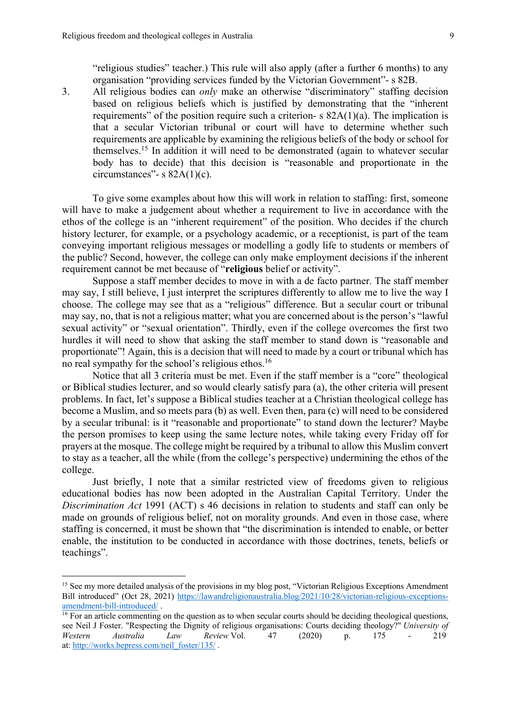"religious studies" teacher.) This rule will also apply (after a further 6 months) to any organisation "providing services funded by the Victorian Government"- s 82B.

3. All religious bodies can *only* make an otherwise "discriminatory" staffing decision based on religious beliefs which is justified by demonstrating that the "inherent requirements" of the position require such a criterion- s 82A(1)(a). The implication is that a secular Victorian tribunal or court will have to determine whether such requirements are applicable by examining the religious beliefs of the body or school for themselves. <sup>15</sup> In addition it will need to be demonstrated (again to whatever secular body has to decide) that this decision is "reasonable and proportionate in the circumstances"- s  $82A(1)(c)$ .

To give some examples about how this will work in relation to staffing: first, someone will have to make a judgement about whether a requirement to live in accordance with the ethos of the college is an "inherent requirement" of the position. Who decides if the church history lecturer, for example, or a psychology academic, or a receptionist, is part of the team conveying important religious messages or modelling a godly life to students or members of the public? Second, however, the college can only make employment decisions if the inherent requirement cannot be met because of "**religious** belief or activity".

Suppose a staff member decides to move in with a de facto partner. The staff member may say, I still believe, I just interpret the scriptures differently to allow me to live the way I choose. The college may see that as a "religious" difference. But a secular court or tribunal may say, no, that is not a religious matter; what you are concerned about is the person's "lawful sexual activity" or "sexual orientation". Thirdly, even if the college overcomes the first two hurdles it will need to show that asking the staff member to stand down is "reasonable and proportionate"! Again, this is a decision that will need to made by a court or tribunal which has no real sympathy for the school's religious ethos.16

Notice that all 3 criteria must be met. Even if the staff member is a "core" theological or Biblical studies lecturer, and so would clearly satisfy para (a), the other criteria will present problems. In fact, let's suppose a Biblical studies teacher at a Christian theological college has become a Muslim, and so meets para (b) as well. Even then, para (c) will need to be considered by a secular tribunal: is it "reasonable and proportionate" to stand down the lecturer? Maybe the person promises to keep using the same lecture notes, while taking every Friday off for prayers at the mosque. The college might be required by a tribunal to allow this Muslim convert to stay as a teacher, all the while (from the college's perspective) undermining the ethos of the college.

Just briefly, I note that a similar restricted view of freedoms given to religious educational bodies has now been adopted in the Australian Capital Territory. Under the *Discrimination Act* 1991 (ACT) s 46 decisions in relation to students and staff can only be made on grounds of religious belief, not on morality grounds. And even in those case, where staffing is concerned, it must be shown that "the discrimination is intended to enable, or better enable, the institution to be conducted in accordance with those doctrines, tenets, beliefs or teachings".

<sup>&</sup>lt;sup>15</sup> See my more detailed analysis of the provisions in my blog post, "Victorian Religious Exceptions Amendment Bill introduced" (Oct 28, 2021) https://lawandreligionaustralia.blog/2021/10/28/victorian-religious-exceptionsamendment-bill-introduced/ .

<sup>&</sup>lt;sup>16</sup> For an article commenting on the question as to when secular courts should be deciding theological questions, see Neil J Foster. "Respecting the Dignity of religious organisations: Courts deciding theology?" *University of Western Australia Law Review* Vol. 47 (2020) p. 175 - 219 at: http://works.bepress.com/neil\_foster/135/ .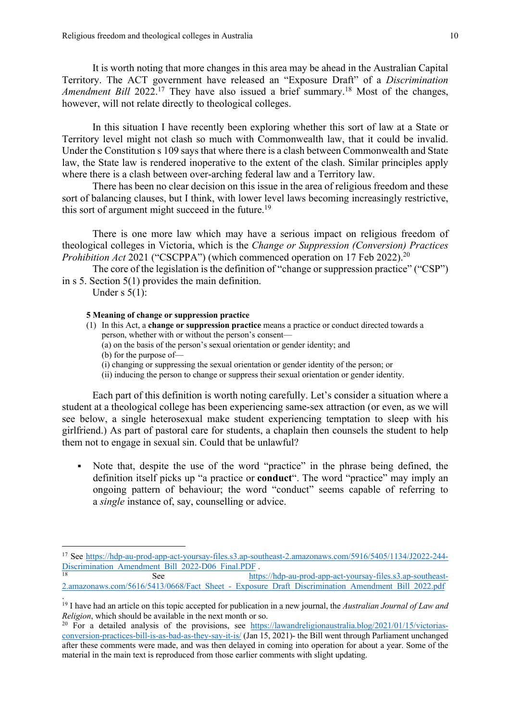It is worth noting that more changes in this area may be ahead in the Australian Capital Territory. The ACT government have released an "Exposure Draft" of a *Discrimination*  Amendment Bill 2022.<sup>17</sup> They have also issued a brief summary.<sup>18</sup> Most of the changes, however, will not relate directly to theological colleges.

In this situation I have recently been exploring whether this sort of law at a State or Territory level might not clash so much with Commonwealth law, that it could be invalid. Under the Constitution s 109 says that where there is a clash between Commonwealth and State law, the State law is rendered inoperative to the extent of the clash. Similar principles apply where there is a clash between over-arching federal law and a Territory law.

There has been no clear decision on this issue in the area of religious freedom and these sort of balancing clauses, but I think, with lower level laws becoming increasingly restrictive, this sort of argument might succeed in the future.<sup>19</sup>

There is one more law which may have a serious impact on religious freedom of theological colleges in Victoria, which is the *Change or Suppression (Conversion) Practices Prohibition Act* 2021 ("CSCPPA") (which commenced operation on 17 Feb 2022).<sup>20</sup>

The core of the legislation is the definition of "change or suppression practice" ("CSP") in s 5. Section 5(1) provides the main definition.

Under s  $5(1)$ :

### **5 Meaning of change or suppression practice**

- (1) In this Act, a **change or suppression practice** means a practice or conduct directed towards a person, whether with or without the person's consent—
	- (a) on the basis of the person's sexual orientation or gender identity; and
	- (b) for the purpose of—
	- (i) changing or suppressing the sexual orientation or gender identity of the person; or
	- (ii) inducing the person to change or suppress their sexual orientation or gender identity.

Each part of this definition is worth noting carefully. Let's consider a situation where a student at a theological college has been experiencing same-sex attraction (or even, as we will see below, a single heterosexual make student experiencing temptation to sleep with his girlfriend.) As part of pastoral care for students, a chaplain then counsels the student to help them not to engage in sexual sin. Could that be unlawful?

• Note that, despite the use of the word "practice" in the phrase being defined, the definition itself picks up "a practice or **conduct**". The word "practice" may imply an ongoing pattern of behaviour; the word "conduct" seems capable of referring to a *single* instance of, say, counselling or advice.

<sup>17</sup> See https://hdp-au-prod-app-act-yoursay-files.s3.ap-southeast-2.amazonaws.com/5916/5405/1134/J2022-244- Discrimination\_Amendment\_Bill\_2022-D06\_Final.PDF .

See https://hdp-au-prod-app-act-yoursay-files.s3.ap-southeast-2.amazonaws.com/5616/5413/0668/Fact\_Sheet -\_Exposure\_Draft\_Discrimination\_Amendment\_Bill\_2022.pdf .

<sup>19</sup> I have had an article on this topic accepted for publication in a new journal, the *Australian Journal of Law and Religion*, which should be available in the next month or so.

<sup>&</sup>lt;sup>20</sup> For a detailed analysis of the provisions, see https://lawandreligionaustralia.blog/2021/01/15/victoriasconversion-practices-bill-is-as-bad-as-they-say-it-is/ (Jan 15, 2021)- the Bill went through Parliament unchanged after these comments were made, and was then delayed in coming into operation for about a year. Some of the material in the main text is reproduced from those earlier comments with slight updating.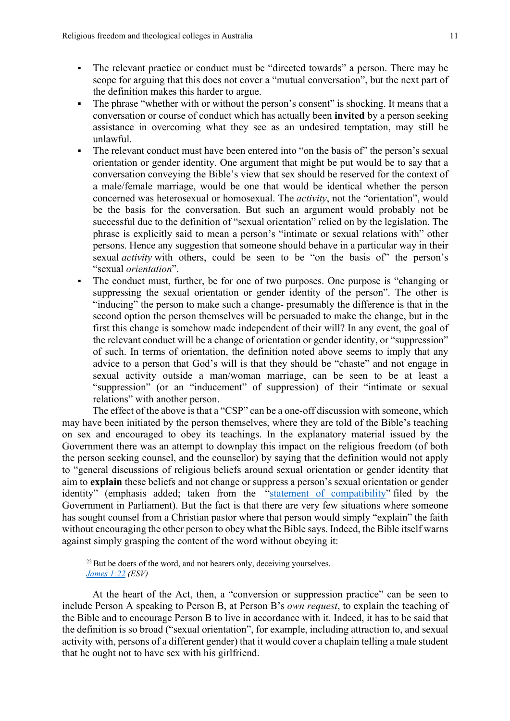- The relevant practice or conduct must be "directed towards" a person. There may be scope for arguing that this does not cover a "mutual conversation", but the next part of the definition makes this harder to argue.
- The phrase "whether with or without the person's consent" is shocking. It means that a conversation or course of conduct which has actually been **invited** by a person seeking assistance in overcoming what they see as an undesired temptation, may still be unlawful.
- The relevant conduct must have been entered into "on the basis of" the person's sexual orientation or gender identity. One argument that might be put would be to say that a conversation conveying the Bible's view that sex should be reserved for the context of a male/female marriage, would be one that would be identical whether the person concerned was heterosexual or homosexual. The *activity*, not the "orientation", would be the basis for the conversation. But such an argument would probably not be successful due to the definition of "sexual orientation" relied on by the legislation. The phrase is explicitly said to mean a person's "intimate or sexual relations with" other persons. Hence any suggestion that someone should behave in a particular way in their sexual *activity* with others, could be seen to be "on the basis of" the person's "sexual *orientation*".
- The conduct must, further, be for one of two purposes. One purpose is "changing or suppressing the sexual orientation or gender identity of the person". The other is "inducing" the person to make such a change- presumably the difference is that in the second option the person themselves will be persuaded to make the change, but in the first this change is somehow made independent of their will? In any event, the goal of the relevant conduct will be a change of orientation or gender identity, or "suppression" of such. In terms of orientation, the definition noted above seems to imply that any advice to a person that God's will is that they should be "chaste" and not engage in sexual activity outside a man/woman marriage, can be seen to be at least a "suppression" (or an "inducement" of suppression) of their "intimate or sexual relations" with another person.

The effect of the above is that a "CSP" can be a one-off discussion with someone, which may have been initiated by the person themselves, where they are told of the Bible's teaching on sex and encouraged to obey its teachings. In the explanatory material issued by the Government there was an attempt to downplay this impact on the religious freedom (of both the person seeking counsel, and the counsellor) by saying that the definition would not apply to "general discussions of religious beliefs around sexual orientation or gender identity that aim to **explain** these beliefs and not change or suppress a person's sexual orientation or gender identity" (emphasis added; taken from the "statement of compatibility" filed by the Government in Parliament). But the fact is that there are very few situations where someone has sought counsel from a Christian pastor where that person would simply "explain" the faith without encouraging the other person to obey what the Bible says. Indeed, the Bible itself warns against simply grasping the content of the word without obeying it:

 $22$  But be doers of the word, and not hearers only, deceiving yourselves. *James 1:22 (ESV)*

At the heart of the Act, then, a "conversion or suppression practice" can be seen to include Person A speaking to Person B, at Person B's *own request*, to explain the teaching of the Bible and to encourage Person B to live in accordance with it. Indeed, it has to be said that the definition is so broad ("sexual orientation", for example, including attraction to, and sexual activity with, persons of a different gender) that it would cover a chaplain telling a male student that he ought not to have sex with his girlfriend.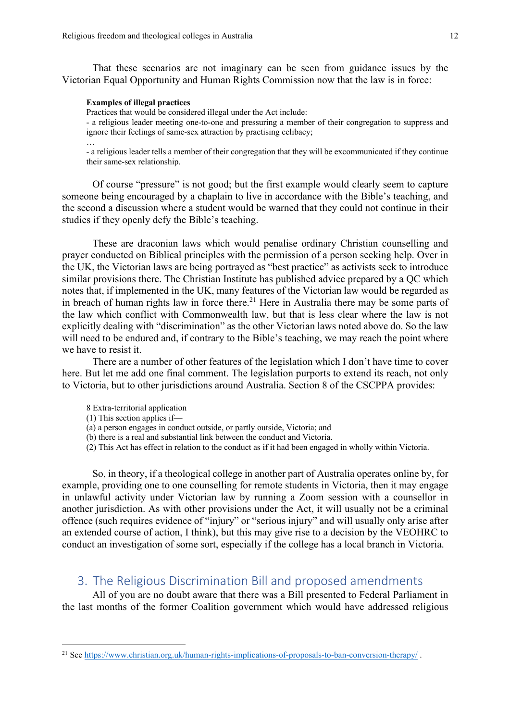That these scenarios are not imaginary can be seen from guidance issues by the Victorian Equal Opportunity and Human Rights Commission now that the law is in force:

### **Examples of illegal practices**

…

Practices that would be considered illegal under the Act include:

- a religious leader meeting one-to-one and pressuring a member of their congregation to suppress and ignore their feelings of same-sex attraction by practising celibacy;

- a religious leader tells a member of their congregation that they will be excommunicated if they continue their same-sex relationship.

Of course "pressure" is not good; but the first example would clearly seem to capture someone being encouraged by a chaplain to live in accordance with the Bible's teaching, and the second a discussion where a student would be warned that they could not continue in their studies if they openly defy the Bible's teaching.

These are draconian laws which would penalise ordinary Christian counselling and prayer conducted on Biblical principles with the permission of a person seeking help. Over in the UK, the Victorian laws are being portrayed as "best practice" as activists seek to introduce similar provisions there. The Christian Institute has published advice prepared by a QC which notes that, if implemented in the UK, many features of the Victorian law would be regarded as in breach of human rights law in force there.<sup>21</sup> Here in Australia there may be some parts of the law which conflict with Commonwealth law, but that is less clear where the law is not explicitly dealing with "discrimination" as the other Victorian laws noted above do. So the law will need to be endured and, if contrary to the Bible's teaching, we may reach the point where we have to resist it.

There are a number of other features of the legislation which I don't have time to cover here. But let me add one final comment. The legislation purports to extend its reach, not only to Victoria, but to other jurisdictions around Australia. Section 8 of the CSCPPA provides:

- 8 Extra-territorial application
- (1) This section applies if—
- (a) a person engages in conduct outside, or partly outside, Victoria; and
- (b) there is a real and substantial link between the conduct and Victoria.
- (2) This Act has effect in relation to the conduct as if it had been engaged in wholly within Victoria.

So, in theory, if a theological college in another part of Australia operates online by, for example, providing one to one counselling for remote students in Victoria, then it may engage in unlawful activity under Victorian law by running a Zoom session with a counsellor in another jurisdiction. As with other provisions under the Act, it will usually not be a criminal offence (such requires evidence of "injury" or "serious injury" and will usually only arise after an extended course of action, I think), but this may give rise to a decision by the VEOHRC to conduct an investigation of some sort, especially if the college has a local branch in Victoria.

# 3. The Religious Discrimination Bill and proposed amendments

All of you are no doubt aware that there was a Bill presented to Federal Parliament in the last months of the former Coalition government which would have addressed religious

<sup>&</sup>lt;sup>21</sup> See https://www.christian.org.uk/human-rights-implications-of-proposals-to-ban-conversion-therapy/.